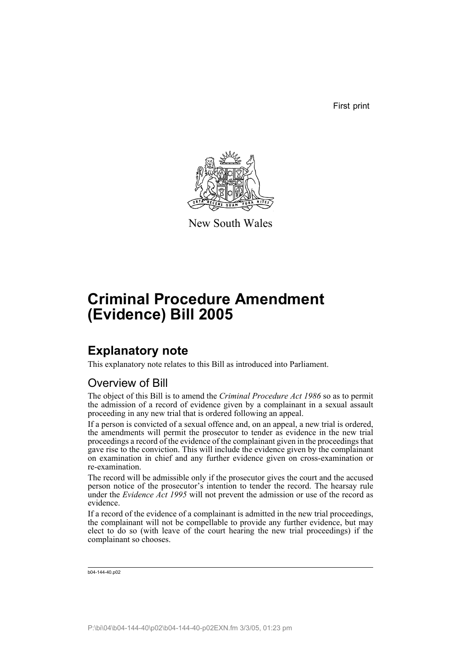First print



New South Wales

# **Criminal Procedure Amendment (Evidence) Bill 2005**

# **Explanatory note**

This explanatory note relates to this Bill as introduced into Parliament.

## Overview of Bill

The object of this Bill is to amend the *Criminal Procedure Act 1986* so as to permit the admission of a record of evidence given by a complainant in a sexual assault proceeding in any new trial that is ordered following an appeal.

If a person is convicted of a sexual offence and, on an appeal, a new trial is ordered, the amendments will permit the prosecutor to tender as evidence in the new trial proceedings a record of the evidence of the complainant given in the proceedings that gave rise to the conviction. This will include the evidence given by the complainant on examination in chief and any further evidence given on cross-examination or re-examination.

The record will be admissible only if the prosecutor gives the court and the accused person notice of the prosecutor's intention to tender the record. The hearsay rule under the *Evidence Act 1995* will not prevent the admission or use of the record as evidence.

If a record of the evidence of a complainant is admitted in the new trial proceedings, the complainant will not be compellable to provide any further evidence, but may elect to do so (with leave of the court hearing the new trial proceedings) if the complainant so chooses.

```
b04-144-40.p02
```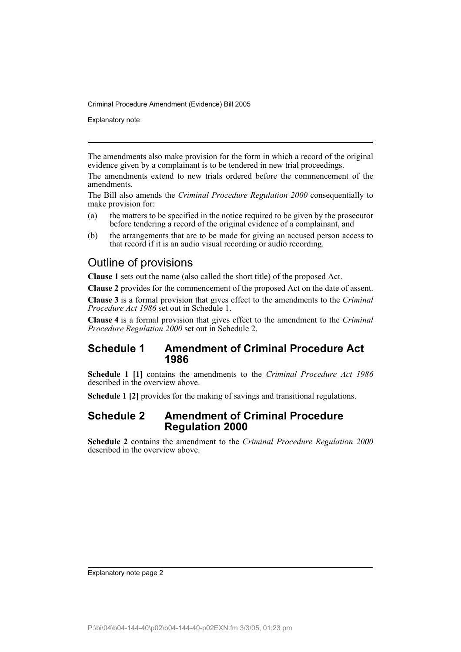Explanatory note

The amendments also make provision for the form in which a record of the original evidence given by a complainant is to be tendered in new trial proceedings.

The amendments extend to new trials ordered before the commencement of the amendments.

The Bill also amends the *Criminal Procedure Regulation 2000* consequentially to make provision for:

- (a) the matters to be specified in the notice required to be given by the prosecutor before tendering a record of the original evidence of a complainant, and
- (b) the arrangements that are to be made for giving an accused person access to that record if it is an audio visual recording or audio recording.

## Outline of provisions

**Clause 1** sets out the name (also called the short title) of the proposed Act.

**Clause 2** provides for the commencement of the proposed Act on the date of assent.

**Clause 3** is a formal provision that gives effect to the amendments to the *Criminal Procedure Act 1986* set out in Schedule 1.

**Clause 4** is a formal provision that gives effect to the amendment to the *Criminal Procedure Regulation 2000* set out in Schedule 2.

### **Schedule 1 Amendment of Criminal Procedure Act 1986**

**Schedule 1 [1]** contains the amendments to the *Criminal Procedure Act 1986* described in the overview above.

**Schedule 1 [2]** provides for the making of savings and transitional regulations.

### **Schedule 2 Amendment of Criminal Procedure Regulation 2000**

**Schedule 2** contains the amendment to the *Criminal Procedure Regulation 2000* described in the overview above.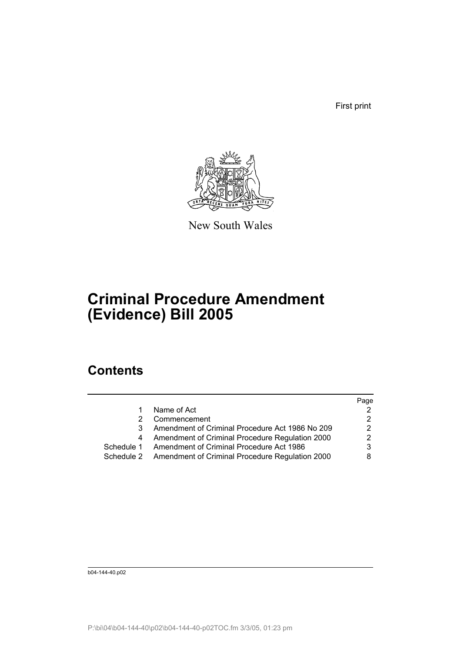First print



New South Wales

# **Criminal Procedure Amendment (Evidence) Bill 2005**

## **Contents**

|            |                                                            | Page |
|------------|------------------------------------------------------------|------|
|            | Name of Act                                                |      |
|            | Commencement                                               |      |
|            | Amendment of Criminal Procedure Act 1986 No 209            | 2    |
|            | Amendment of Criminal Procedure Regulation 2000            | 2    |
| Schedule 1 | Amendment of Criminal Procedure Act 1986                   | 3    |
|            | Schedule 2 Amendment of Criminal Procedure Regulation 2000 |      |
|            |                                                            |      |

b04-144-40.p02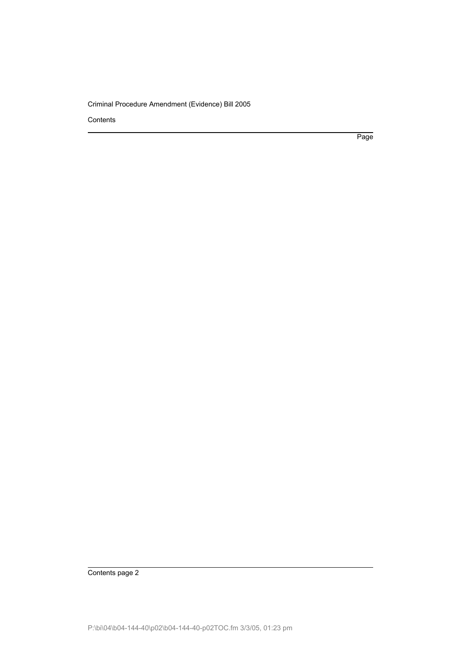**Contents** 

Page

Contents page 2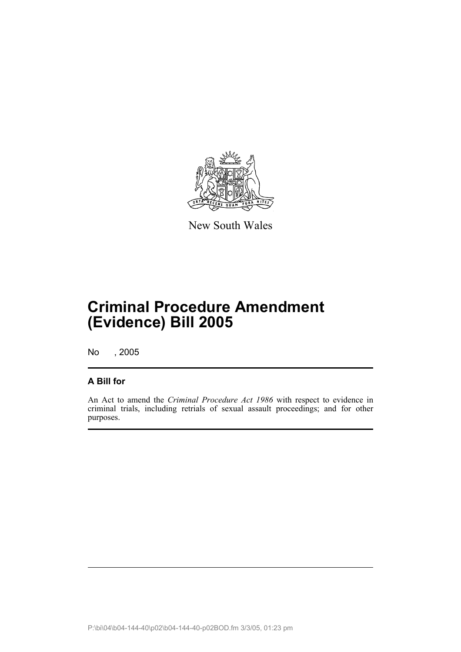

New South Wales

# **Criminal Procedure Amendment (Evidence) Bill 2005**

No , 2005

## **A Bill for**

An Act to amend the *Criminal Procedure Act 1986* with respect to evidence in criminal trials, including retrials of sexual assault proceedings; and for other purposes.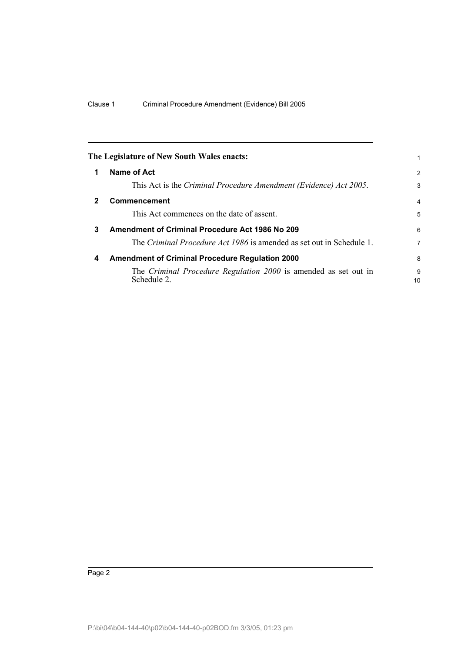|              | The Legislature of New South Wales enacts:                                     |                |
|--------------|--------------------------------------------------------------------------------|----------------|
|              | Name of Act                                                                    | $\overline{2}$ |
|              | This Act is the Criminal Procedure Amendment (Evidence) Act 2005.              | 3              |
| $\mathbf{2}$ | <b>Commencement</b>                                                            | 4              |
|              | This Act commences on the date of assent.                                      | 5              |
| 3            | Amendment of Criminal Procedure Act 1986 No 209                                | 6              |
|              | The Criminal Procedure Act 1986 is amended as set out in Schedule 1.           | 7              |
| 4            | <b>Amendment of Criminal Procedure Regulation 2000</b>                         | 8              |
|              | The Criminal Procedure Regulation 2000 is amended as set out in<br>Schedule 2. | 9<br>10        |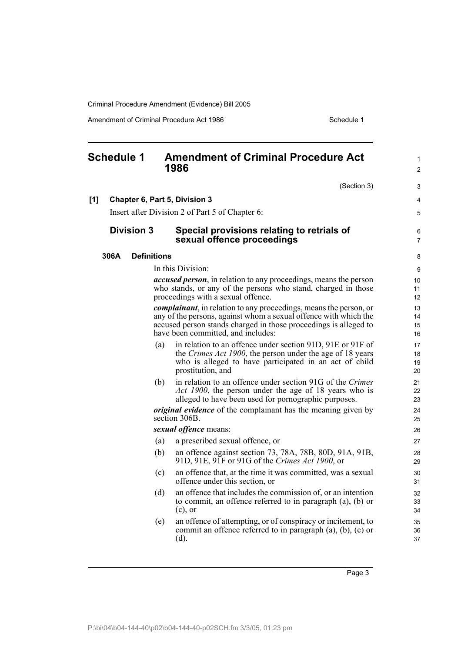Amendment of Criminal Procedure Act 1986 Schedule 1

|     | <b>Schedule 1</b> |                    |     | <b>Amendment of Criminal Procedure Act</b><br>1986                                                                                                                                                                                                      | 1<br>$\overline{c}$  |
|-----|-------------------|--------------------|-----|---------------------------------------------------------------------------------------------------------------------------------------------------------------------------------------------------------------------------------------------------------|----------------------|
|     |                   |                    |     | (Section 3)                                                                                                                                                                                                                                             | 3                    |
| [1] |                   |                    |     | Chapter 6, Part 5, Division 3                                                                                                                                                                                                                           | 4                    |
|     |                   |                    |     | Insert after Division 2 of Part 5 of Chapter 6:                                                                                                                                                                                                         | 5                    |
|     |                   | <b>Division 3</b>  |     | Special provisions relating to retrials of<br>sexual offence proceedings                                                                                                                                                                                | 6<br>7               |
|     | 306A              | <b>Definitions</b> |     |                                                                                                                                                                                                                                                         | 8                    |
|     |                   |                    |     | In this Division:                                                                                                                                                                                                                                       | 9                    |
|     |                   |                    |     | <i>accused person</i> , in relation to any proceedings, means the person<br>who stands, or any of the persons who stand, charged in those<br>proceedings with a sexual offence.                                                                         | 10<br>11<br>12       |
|     |                   |                    |     | <i>complainant</i> , in relation to any proceedings, means the person, or<br>any of the persons, against whom a sexual offence with which the<br>accused person stands charged in those proceedings is alleged to<br>have been committed, and includes: | 13<br>14<br>15<br>16 |
|     |                   |                    | (a) | in relation to an offence under section 91D, 91E or 91F of<br>the Crimes Act 1900, the person under the age of 18 years<br>who is alleged to have participated in an act of child<br>prostitution, and                                                  | 17<br>18<br>19<br>20 |
|     |                   |                    | (b) | in relation to an offence under section 91G of the Crimes<br>Act 1900, the person under the age of 18 years who is<br>alleged to have been used for pornographic purposes.                                                                              | 21<br>22<br>23       |
|     |                   |                    |     | <i>original evidence</i> of the complainant has the meaning given by<br>section 306B.                                                                                                                                                                   | 24<br>25             |
|     |                   |                    |     | sexual offence means:                                                                                                                                                                                                                                   | 26                   |
|     |                   |                    | (a) | a prescribed sexual offence, or                                                                                                                                                                                                                         | 27                   |
|     |                   |                    | (b) | an offence against section 73, 78A, 78B, 80D, 91A, 91B,<br>91D, 91E, 91F or 91G of the Crimes Act 1900, or                                                                                                                                              | 28<br>29             |
|     |                   |                    | (c) | an offence that, at the time it was committed, was a sexual<br>offence under this section, or                                                                                                                                                           | 30<br>31             |
|     |                   |                    | (d) | an offence that includes the commission of, or an intention<br>to commit, an offence referred to in paragraph (a), (b) or<br>$(c)$ , or                                                                                                                 | 32<br>33<br>34       |
|     |                   |                    | (e) | an offence of attempting, or of conspiracy or incitement, to<br>commit an offence referred to in paragraph $(a)$ , $(b)$ , $(c)$ or<br>$(d)$ .                                                                                                          | 35<br>36<br>37       |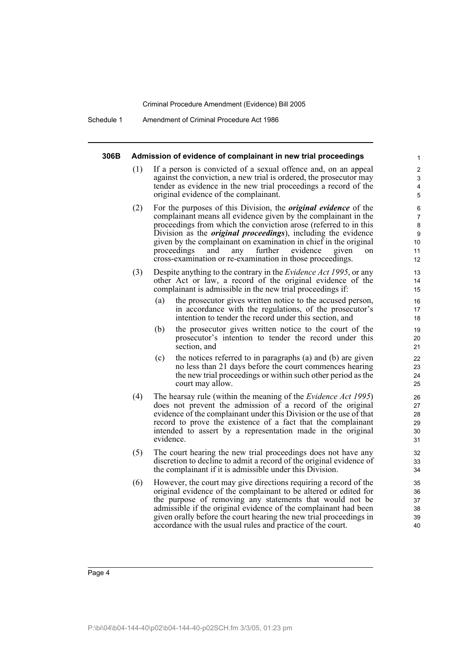Schedule 1 Amendment of Criminal Procedure Act 1986

#### **306B Admission of evidence of complainant in new trial proceedings**

(1) If a person is convicted of a sexual offence and, on an appeal against the conviction, a new trial is ordered, the prosecutor may tender as evidence in the new trial proceedings a record of the original evidence of the complainant.

- (2) For the purposes of this Division, the *original evidence* of the complainant means all evidence given by the complainant in the proceedings from which the conviction arose (referred to in this Division as the *original proceedings*), including the evidence given by the complainant on examination in chief in the original proceedings and any further evidence given on cross-examination or re-examination in those proceedings.
- (3) Despite anything to the contrary in the *Evidence Act 1995*, or any other Act or law, a record of the original evidence of the complainant is admissible in the new trial proceedings if:
	- (a) the prosecutor gives written notice to the accused person, in accordance with the regulations, of the prosecutor's intention to tender the record under this section, and
	- (b) the prosecutor gives written notice to the court of the prosecutor's intention to tender the record under this section, and
	- (c) the notices referred to in paragraphs (a) and (b) are given no less than 21 days before the court commences hearing the new trial proceedings or within such other period as the court may allow.
- (4) The hearsay rule (within the meaning of the *Evidence Act 1995*) does not prevent the admission of a record of the original evidence of the complainant under this Division or the use of that record to prove the existence of a fact that the complainant intended to assert by a representation made in the original evidence.
- (5) The court hearing the new trial proceedings does not have any discretion to decline to admit a record of the original evidence of the complainant if it is admissible under this Division.
- (6) However, the court may give directions requiring a record of the original evidence of the complainant to be altered or edited for the purpose of removing any statements that would not be admissible if the original evidence of the complainant had been given orally before the court hearing the new trial proceedings in accordance with the usual rules and practice of the court.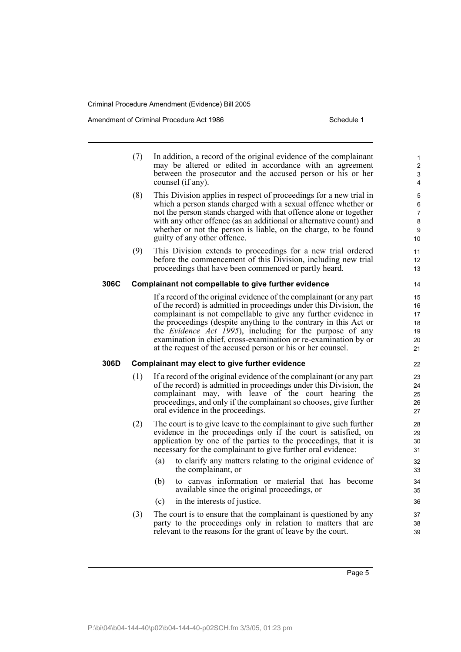Amendment of Criminal Procedure Act 1986 Schedule 1

- (7) In addition, a record of the original evidence of the complainant may be altered or edited in accordance with an agreement between the prosecutor and the accused person or his or her counsel (if any).
- (8) This Division applies in respect of proceedings for a new trial in which a person stands charged with a sexual offence whether or not the person stands charged with that offence alone or together with any other offence (as an additional or alternative count) and whether or not the person is liable, on the charge, to be found guilty of any other offence.
- (9) This Division extends to proceedings for a new trial ordered before the commencement of this Division, including new trial proceedings that have been commenced or partly heard.

#### **306C Complainant not compellable to give further evidence**

If a record of the original evidence of the complainant (or any part of the record) is admitted in proceedings under this Division, the complainant is not compellable to give any further evidence in the proceedings (despite anything to the contrary in this Act or the *Evidence Act 1995*), including for the purpose of any examination in chief, cross-examination or re-examination by or at the request of the accused person or his or her counsel.

#### **306D Complainant may elect to give further evidence**

- (1) If a record of the original evidence of the complainant (or any part of the record) is admitted in proceedings under this Division, the complainant may, with leave of the court hearing the proceedings, and only if the complainant so chooses, give further oral evidence in the proceedings.
- (2) The court is to give leave to the complainant to give such further evidence in the proceedings only if the court is satisfied, on application by one of the parties to the proceedings, that it is necessary for the complainant to give further oral evidence:
	- (a) to clarify any matters relating to the original evidence of the complainant, or
	- (b) to canvas information or material that has become available since the original proceedings, or
	- (c) in the interests of justice.
- (3) The court is to ensure that the complainant is questioned by any party to the proceedings only in relation to matters that are relevant to the reasons for the grant of leave by the court.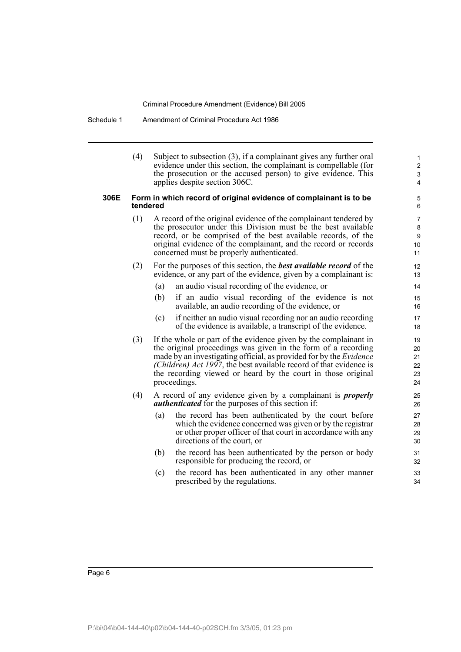Schedule 1 Amendment of Criminal Procedure Act 1986

|      | (4)                                                                           |                                                                                                                                                                                                                                                                                                                                                                      | Subject to subsection $(3)$ , if a complainant gives any further oral<br>evidence under this section, the complainant is compellable (for<br>the prosecution or the accused person) to give evidence. This<br>applies despite section 306C. | $\mathbf{1}$<br>$\overline{2}$<br>3<br>$\overline{4}$ |  |  |  |  |
|------|-------------------------------------------------------------------------------|----------------------------------------------------------------------------------------------------------------------------------------------------------------------------------------------------------------------------------------------------------------------------------------------------------------------------------------------------------------------|---------------------------------------------------------------------------------------------------------------------------------------------------------------------------------------------------------------------------------------------|-------------------------------------------------------|--|--|--|--|
| 306E | Form in which record of original evidence of complainant is to be<br>tendered |                                                                                                                                                                                                                                                                                                                                                                      |                                                                                                                                                                                                                                             |                                                       |  |  |  |  |
|      | (1)                                                                           | A record of the original evidence of the complainant tendered by<br>the prosecutor under this Division must be the best available<br>record, or be comprised of the best available records, of the<br>original evidence of the complainant, and the record or records<br>concerned must be properly authenticated.                                                   |                                                                                                                                                                                                                                             |                                                       |  |  |  |  |
|      | (2)                                                                           |                                                                                                                                                                                                                                                                                                                                                                      | For the purposes of this section, the <b>best available record</b> of the<br>evidence, or any part of the evidence, given by a complainant is:                                                                                              | 12<br>13                                              |  |  |  |  |
|      |                                                                               | (a)                                                                                                                                                                                                                                                                                                                                                                  | an audio visual recording of the evidence, or                                                                                                                                                                                               | 14                                                    |  |  |  |  |
|      |                                                                               | (b)                                                                                                                                                                                                                                                                                                                                                                  | if an audio visual recording of the evidence is not<br>available, an audio recording of the evidence, or                                                                                                                                    | 15<br>16                                              |  |  |  |  |
|      |                                                                               | (c)                                                                                                                                                                                                                                                                                                                                                                  | if neither an audio visual recording nor an audio recording<br>of the evidence is available, a transcript of the evidence.                                                                                                                  | 17<br>18                                              |  |  |  |  |
|      | (3)                                                                           | If the whole or part of the evidence given by the complainant in<br>the original proceedings was given in the form of a recording<br>made by an investigating official, as provided for by the <i>Evidence</i><br>(Children) Act 1997, the best available record of that evidence is<br>the recording viewed or heard by the court in those original<br>proceedings. |                                                                                                                                                                                                                                             |                                                       |  |  |  |  |
|      | (4)                                                                           | A record of any evidence given by a complainant is <i>properly</i><br><i>authenticated</i> for the purposes of this section if:                                                                                                                                                                                                                                      |                                                                                                                                                                                                                                             | 25<br>26                                              |  |  |  |  |
|      |                                                                               | (a)                                                                                                                                                                                                                                                                                                                                                                  | the record has been authenticated by the court before<br>which the evidence concerned was given or by the registrar<br>or other proper officer of that court in accordance with any<br>directions of the court, or                          | 27<br>28<br>29<br>30                                  |  |  |  |  |
|      |                                                                               | (b)                                                                                                                                                                                                                                                                                                                                                                  | the record has been authenticated by the person or body<br>responsible for producing the record, or                                                                                                                                         | 31<br>32                                              |  |  |  |  |
|      |                                                                               | (c)                                                                                                                                                                                                                                                                                                                                                                  | the record has been authenticated in any other manner<br>prescribed by the regulations.                                                                                                                                                     | 33<br>34                                              |  |  |  |  |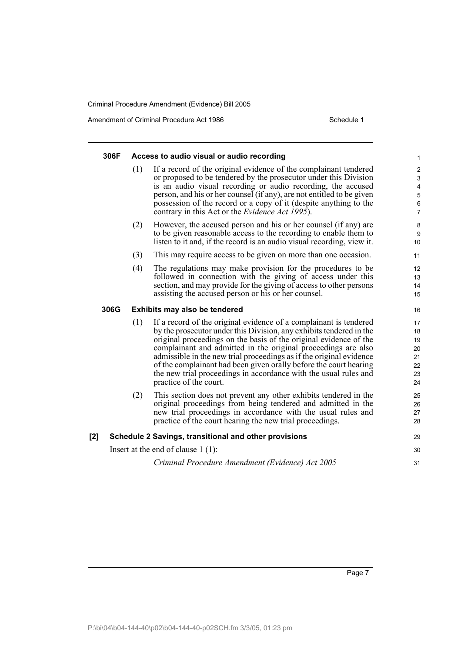Amendment of Criminal Procedure Act 1986 Schedule 1

#### **306F Access to audio visual or audio recording** (1) If a record of the original evidence of the complainant tendered or proposed to be tendered by the prosecutor under this Division is an audio visual recording or audio recording, the accused person, and his or her counsel (if any), are not entitled to be given possession of the record or a copy of it (despite anything to the contrary in this Act or the *Evidence Act 1995*). (2) However, the accused person and his or her counsel (if any) are to be given reasonable access to the recording to enable them to listen to it and, if the record is an audio visual recording, view it. (3) This may require access to be given on more than one occasion. (4) The regulations may make provision for the procedures to be followed in connection with the giving of access under this section, and may provide for the giving of access to other persons assisting the accused person or his or her counsel. **306G Exhibits may also be tendered** (1) If a record of the original evidence of a complainant is tendered by the prosecutor under this Division, any exhibits tendered in the original proceedings on the basis of the original evidence of the complainant and admitted in the original proceedings are also admissible in the new trial proceedings as if the original evidence of the complainant had been given orally before the court hearing the new trial proceedings in accordance with the usual rules and practice of the court. (2) This section does not prevent any other exhibits tendered in the original proceedings from being tendered and admitted in the new trial proceedings in accordance with the usual rules and practice of the court hearing the new trial proceedings. **[2] Schedule 2 Savings, transitional and other provisions** Insert at the end of clause 1 (1): *Criminal Procedure Amendment (Evidence) Act 2005* 1 2 3 4 5 6 7 8 9  $10$ 11 12 13 14 15 16 17 18 19 20 21 22 23 24 25 26 27 28 29 30 31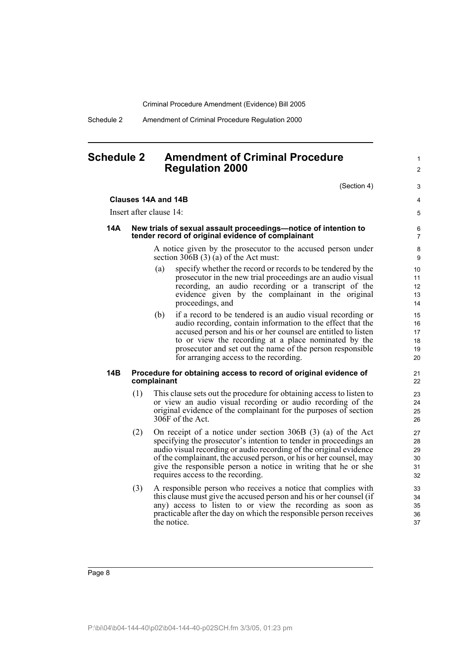Schedule 2 Amendment of Criminal Procedure Regulation 2000

**Clauses 14A and 14B**

### **Schedule 2 Amendment of Criminal Procedure Regulation 2000**

(Section 4)

1  $\mathfrak{p}$ 

3 4 5

#### Insert after clause 14: **14A New trials of sexual assault proceedings—notice of intention to tender record of original evidence of complainant** A notice given by the prosecutor to the accused person under section 306B (3) (a) of the Act must: (a) specify whether the record or records to be tendered by the prosecutor in the new trial proceedings are an audio visual recording, an audio recording or a transcript of the

evidence given by the complainant in the original proceedings, and (b) if a record to be tendered is an audio visual recording or audio recording, contain information to the effect that the accused person and his or her counsel are entitled to listen to or view the recording at a place nominated by the prosecutor and set out the name of the person responsible

#### **14B Procedure for obtaining access to record of original evidence of complainant**

for arranging access to the recording.

- (1) This clause sets out the procedure for obtaining access to listen to or view an audio visual recording or audio recording of the original evidence of the complainant for the purposes of section 306F of the Act.
- (2) On receipt of a notice under section 306B (3) (a) of the Act specifying the prosecutor's intention to tender in proceedings an audio visual recording or audio recording of the original evidence of the complainant, the accused person, or his or her counsel, may give the responsible person a notice in writing that he or she requires access to the recording.
- (3) A responsible person who receives a notice that complies with this clause must give the accused person and his or her counsel (if any) access to listen to or view the recording as soon as practicable after the day on which the responsible person receives the notice.